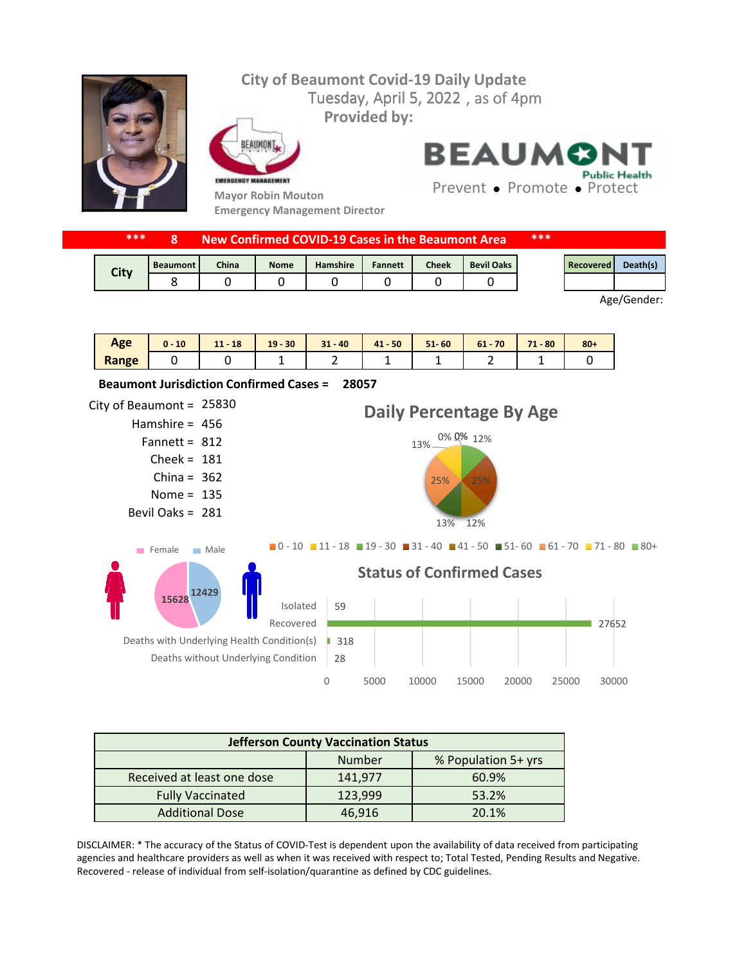## Tuesday, April 5, 2022, as of 4pm **City of Beaumont Covid-19 Daily Update Provided by:**



FAIIMON EMERGENCY MANAGEMENT

**Mayor Robin Mouton Emergency Management Director** **BEAUMONT Public Health** 

Prevent • Promote • Protect

| ***         | New Confirmed COVID-19 Cases in the Beaumont Area |              |             |                 |                |       | ***               |  |           |                 |
|-------------|---------------------------------------------------|--------------|-------------|-----------------|----------------|-------|-------------------|--|-----------|-----------------|
| <b>City</b> | <b>Beaumont</b>                                   | <b>China</b> | <b>Nome</b> | <b>Hamshire</b> | <b>Fannett</b> | Cheek | <b>Bevil Oaks</b> |  | Recovered | <b>Death(s)</b> |
|             |                                                   |              |             |                 |                |       |                   |  |           |                 |

Age/Gender:

| Age   | 10<br>$0 -$ | 18<br>111<br> | $-30$<br>19 | $31 - 40$ | $41 - 50$ | $51 - 60$ | $61 - 70$ | 71<br>$-80$<br>. . | $80 +$ |
|-------|-------------|---------------|-------------|-----------|-----------|-----------|-----------|--------------------|--------|
| Range |             |               |             |           | --        |           |           |                    |        |



| <b>Jefferson County Vaccination Status</b> |         |                     |  |  |  |  |
|--------------------------------------------|---------|---------------------|--|--|--|--|
|                                            | Number  | % Population 5+ yrs |  |  |  |  |
| Received at least one dose                 | 141,977 | 60.9%               |  |  |  |  |
| <b>Fully Vaccinated</b>                    | 123,999 | 53.2%               |  |  |  |  |
| <b>Additional Dose</b>                     | 46,916  | 20.1%               |  |  |  |  |

DISCLAIMER: \* The accuracy of the Status of COVID-Test is dependent upon the availability of data received from participating agencies and healthcare providers as well as when it was received with respect to; Total Tested, Pending Results and Negative. Recovered - release of individual from self-isolation/quarantine as defined by CDC guidelines.